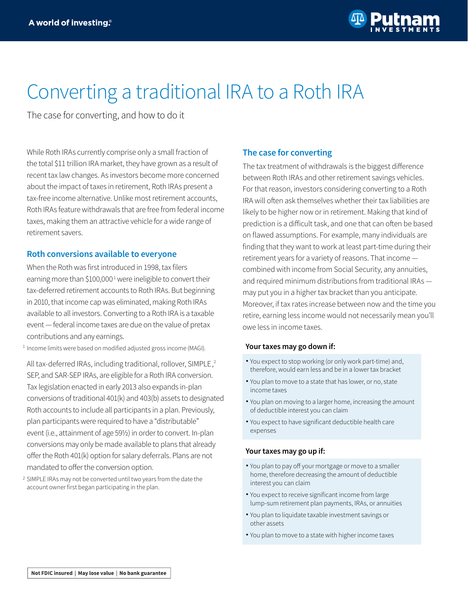# Converting a traditional IRA to a Roth IRA

The case for converting, and how to do it

While Roth IRAs currently comprise only a small fraction of the total \$11 trillion IRA market, they have grown as a result of recent tax law changes. As investors become more concerned about the impact of taxes in retirement, Roth IRAs present a tax-free income alternative. Unlike most retirement accounts, Roth IRAs feature withdrawals that are free from federal income taxes, making them an attractive vehicle for a wide range of retirement savers.

# **Roth conversions available to everyone**

When the Roth was first introduced in 1998, tax filers earning more than \$100,000<sup>1</sup> were ineligible to convert their tax-deferred retirement accounts to Roth IRAs. But beginning in 2010, that income cap was eliminated, making Roth IRAs available to all investors. Converting to a Roth IRA is a taxable event — federal income taxes are due on the value of pretax contributions and any earnings.

 $1$  Income limits were based on modified adjusted gross income (MAGI).

All tax-deferred IRAs, including traditional, rollover, SIMPLE,<sup>2</sup> SEP, and SAR-SEP IRAs, are eligible for a Roth IRA conversion. Tax legislation enacted in early 2013 also expands in-plan conversions of traditional 401(k) and 403(b) assets to designated Roth accounts to include all participants in a plan. Previously, plan participants were required to have a "distributable" event (i.e., attainment of age 59½) in order to convert. In-plan conversions may only be made available to plans that already offer the Roth 401(k) option for salary deferrals. Plans are not mandated to offer the conversion option.

<sup>2</sup> SIMPLE IRAs may not be converted until two years from the date the account owner first began participating in the plan.

# **The case for converting**

The tax treatment of withdrawals is the biggest difference between Roth IRAs and other retirement savings vehicles. For that reason, investors considering converting to a Roth IRA will often ask themselves whether their tax liabilities are likely to be higher now or in retirement. Making that kind of prediction is a difficult task, and one that can often be based on flawed assumptions. For example, many individuals are finding that they want to work at least part-time during their retirement years for a variety of reasons. That income combined with income from Social Security, any annuities, and required minimum distributions from traditional IRAs may put you in a higher tax bracket than you anticipate. Moreover, if tax rates increase between now and the time you retire, earning less income would not necessarily mean you'll owe less in income taxes.

#### **Your taxes may go down if:**

- You expect to stop working (or only work part-time) and, therefore, would earn less and be in a lower tax bracket
- You plan to move to a state that has lower, or no, state income taxes
- You plan on moving to a larger home, increasing the amount of deductible interest you can claim
- You expect to have significant deductible health care expenses

#### **Your taxes may go up if:**

- You plan to pay off your mortgage or move to a smaller home, therefore decreasing the amount of deductible interest you can claim
- You expect to receive significant income from large lump-sum retirement plan payments, IRAs, or annuities
- You plan to liquidate taxable investment savings or other assets
- You plan to move to a state with higher income taxes •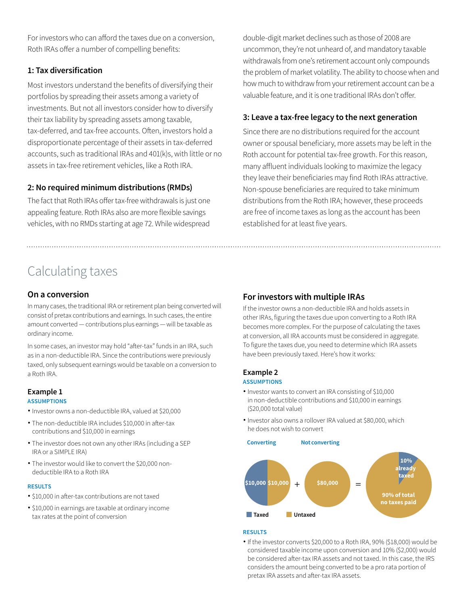For investors who can afford the taxes due on a conversion, Roth IRAs offer a number of compelling benefits:

# **1: Tax diversification**

Most investors understand the benefits of diversifying their portfolios by spreading their assets among a variety of investments. But not all investors consider how to diversify their tax liability by spreading assets among taxable, tax-deferred, and tax-free accounts. Often, investors hold a disproportionate percentage of their assets in tax-deferred accounts, such as traditional IRAs and 401(k)s, with little or no assets in tax-free retirement vehicles, like a Roth IRA.

# **2: No required minimum distributions (RMDs)**

The fact that Roth IRAs offer tax-free withdrawals is just one appealing feature. Roth IRAs also are more flexible savings vehicles, with no RMDs starting at age 72. While widespread

double-digit market declines such as those of 2008 are uncommon, they're not unheard of, and mandatory taxable withdrawals from one's retirement account only compounds the problem of market volatility. The ability to choose when and how much to withdraw from your retirement account can be a valuable feature, and it is one traditional IRAs don't offer.

# **3: Leave a tax-free legacy to the next generation**

Since there are no distributions required for the account owner or spousal beneficiary, more assets may be left in the Roth account for potential tax-free growth. For this reason, many affluent individuals looking to maximize the legacy they leave their beneficiaries may find Roth IRAs attractive. Non-spouse beneficiaries are required to take minimum distributions from the Roth IRA; however, these proceeds are free of income taxes as long as the account has been established for at least five years.

# Calculating taxes

# **On a conversion**

In many cases, the traditional IRA or retirement plan being converted will consist of pretax contributions and earnings. In such cases, the entire amount converted — contributions plus earnings — will be taxable as ordinary income.

In some cases, an investor may hold "after-tax" funds in an IRA, such as in a non-deductible IRA. Since the contributions were previously taxed, only subsequent earnings would be taxable on a conversion to a Roth IRA.

# **Example 1**

# **ASSUMPTIONS**

- Investor owns a non-deductible IRA, valued at \$20,000 •
- The non-deductible IRA includes \$10,000 in after-tax contributions and \$10,000 in earnings
- The investor does not own any other IRAs (including a SEP IRA or a SIMPLE IRA)
- The investor would like to convert the \$20,000 non- deductible IRA to a Roth IRA

#### **RESULTS**

- \$10,000 in after-tax contributions are not taxed •
- \$10,000 in earnings are taxable at ordinary income tax rates at the point of conversion

# **For investors with multiple IRAs**

If the investor owns a non-deductible IRA and holds assets in other IRAs, figuring the taxes due upon converting to a Roth IRA becomes more complex. For the purpose of calculating the taxes at conversion, all IRA accounts must be considered in aggregate. To figure the taxes due, you need to determine which IRA assets have been previously taxed. Here's how it works:

# **Example 2**

#### **ASSUMPTIONS**

- $\bullet$  Investor wants to convert an IRA consisting of \$10,000 in non-deductible contributions and \$10,000 in earnings (\$20,000 total value)
- Investor also owns a rollover IRA valued at \$80,000, which he does not wish to convert



#### **RESULTS**

If the investor converts \$20,000 to a Roth IRA, 90% (\$18,000) would be considered taxable income upon conversion and 10% (\$2,000) would be considered after-tax IRA assets and not taxed. In this case, the IRS considers the amount being converted to be a pro rata portion of pretax IRA assets and after-tax IRA assets.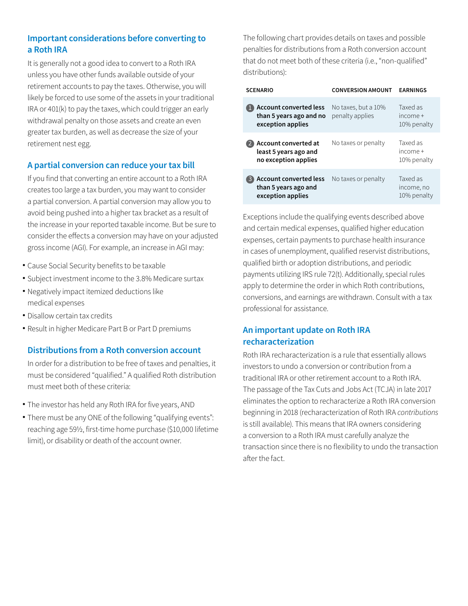# **Important considerations before converting to a Roth IRA**

It is generally not a good idea to convert to a Roth IRA unless you have other funds available outside of your retirement accounts to pay the taxes. Otherwise, you will likely be forced to use some of the assets in your traditional IRA or 401(k) to pay the taxes, which could trigger an early withdrawal penalty on those assets and create an even greater tax burden, as well as decrease the size of your retirement nest egg.

# **A partial conversion can reduce your tax bill**

If you find that converting an entire account to a Roth IRA creates too large a tax burden, you may want to consider a partial conversion. A partial conversion may allow you to avoid being pushed into a higher tax bracket as a result of the increase in your reported taxable income. But be sure to consider the effects a conversion may have on your adjusted gross income (AGI). For example, an increase in AGI may:

- Cause Social Security benefits to be taxable •
- Subject investment income to the 3.8% Medicare surtax •
- Negatively impact itemized deductions like medical expenses
- Disallow certain tax credits •
- Result in higher Medicare Part B or Part D premiums

# **Distributions from a Roth conversion account**

In order for a distribution to be free of taxes and penalties, it must be considered "qualified." A qualified Roth distribution must meet both of these criteria:

- The investor has held any Roth IRA for five years, AND •
- There must be any ONE of the following "qualifying events": reaching age 59½, first-time home purchase (\$10,000 lifetime limit), or disability or death of the account owner.

The following chart provides details on taxes and possible penalties for distributions from a Roth conversion account that do not meet both of these criteria (i.e., "non-qualified" distributions):

| <b>SCENARIO</b>                                                        | <b>CONVERSION AMOUNT</b>               | <b><i>EARNINGS</i></b>                |
|------------------------------------------------------------------------|----------------------------------------|---------------------------------------|
| Account converted less<br>than 5 years ago and no<br>exception applies | No taxes, but a 10%<br>penalty applies | Taxed as<br>$income+$<br>10% penalty  |
| Account converted at<br>least 5 years ago and<br>no exception applies  | No taxes or penalty                    | Taxed as<br>$income+$<br>10% penalty  |
| Account converted less<br>than 5 years ago and<br>exception applies    | No taxes or penalty                    | Taxed as<br>income, no<br>10% penalty |

Exceptions include the qualifying events described above and certain medical expenses, qualified higher education expenses, certain payments to purchase health insurance in cases of unemployment, qualified reservist distributions, qualified birth or adoption distributions, and periodic payments utilizing IRS rule 72(t). Additionally, special rules apply to determine the order in which Roth contributions, conversions, and earnings are withdrawn. Consult with a tax professional for assistance.

# **An important update on Roth IRA recharacterization**

Roth IRA recharacterization is a rule that essentially allows investors to undo a conversion or contribution from a traditional IRA or other retirement account to a Roth IRA. The passage of the Tax Cuts and Jobs Act (TCJA) in late 2017 eliminates the option to recharacterize a Roth IRA conversion beginning in 2018 (recharacterization of Roth IRA *contributions* is still available). This means that IRA owners considering a conversion to a Roth IRA must carefully analyze the transaction since there is no flexibility to undo the transaction after the fact.